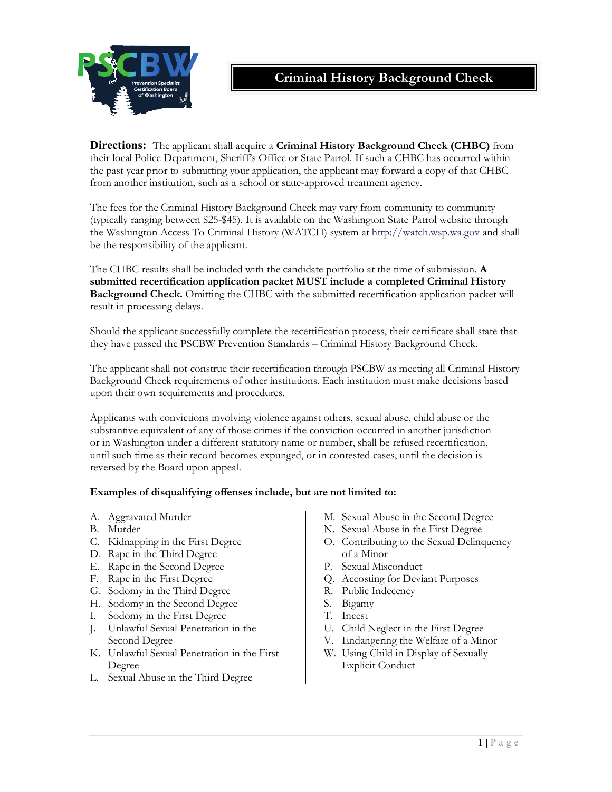



**Directions:** The applicant shall acquire a **Criminal History Background Check (CHBC)** from their local Police Department, Sheriff's Office or State Patrol. If such a CHBC has occurred within the past year prior to submitting your application, the applicant may forward a copy of that CHBC from another institution, such as a school or state-approved treatment agency.

The fees for the Criminal History Background Check may vary from community to community (typically ranging between \$25-\$45). It is available on the Washington State Patrol website through the Washington Access To Criminal History (WATCH) system at http://watch.wsp.wa.gov and shall be the responsibility of the applicant.

The CHBC results shall be included with the candidate portfolio at the time of submission. **A submitted recertification application packet MUST include a completed Criminal History Background Check.** Omitting the CHBC with the submitted recertification application packet will result in processing delays.

Should the applicant successfully complete the recertification process, their certificate shall state that they have passed the PSCBW Prevention Standards – Criminal History Background Check.

The applicant shall not construe their recertification through PSCBW as meeting all Criminal History Background Check requirements of other institutions. Each institution must make decisions based upon their own requirements and procedures.

Applicants with convictions involving violence against others, sexual abuse, child abuse or the substantive equivalent of any of those crimes if the conviction occurred in another jurisdiction or in Washington under a different statutory name or number, shall be refused recertification, until such time as their record becomes expunged, or in contested cases, until the decision is reversed by the Board upon appeal.

## **Examples of disqualifying offenses include, but are not limited to:**

- A. Aggravated Murder
- B. Murder
- C. Kidnapping in the First Degree
- D. Rape in the Third Degree
- E. Rape in the Second Degree
- F. Rape in the First Degree
- G. Sodomy in the Third Degree
- H. Sodomy in the Second Degree
- I. Sodomy in the First Degree
- J. Unlawful Sexual Penetration in the Second Degree
- K. Unlawful Sexual Penetration in the First Degree
- L. Sexual Abuse in the Third Degree
- M. Sexual Abuse in the Second Degree
- N. Sexual Abuse in the First Degree
- O. Contributing to the Sexual Delinquency of a Minor
- P. Sexual Misconduct
- Q. Accosting for Deviant Purposes
- R. Public Indecency
- S. Bigamy
- T. Incest
- U. Child Neglect in the First Degree
- V. Endangering the Welfare of a Minor
- W. Using Child in Display of Sexually Explicit Conduct